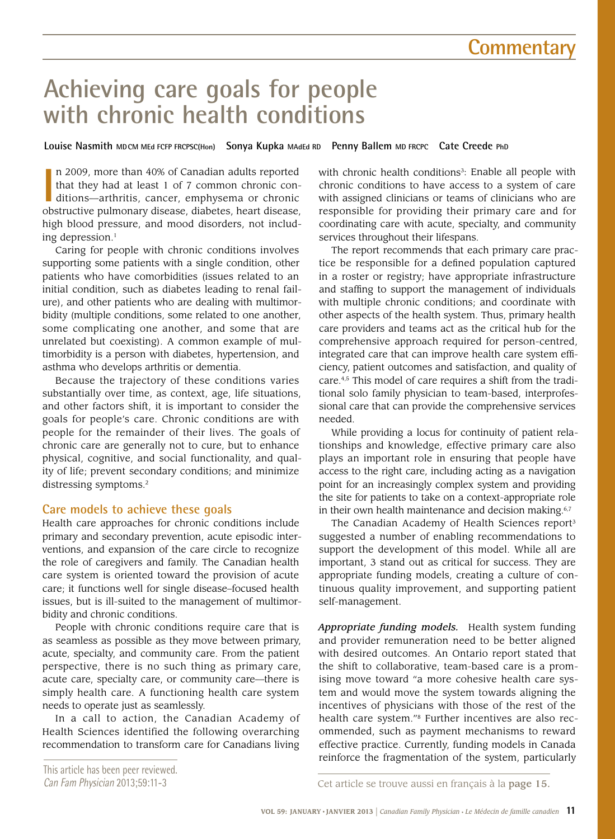# **Achieving care goals for people with chronic health conditions**

**Louise Nasmith MDCM MEd FCFP FRCPSC(Hon) Sonya Kupka MAdEd RD Penny Ballem MD FRCPC Cate Creede PhD**

In 2009, more than 40% of Canadian adults reported that they had at least 1 of 7 common chronic conditions—arthritis, cancer, emphysema or chronic obstructive pulmonary disease, diabetes, heart disease, n 2009, more than 40% of Canadian adults reported that they had at least 1 of 7 common chronic conditions—arthritis, cancer, emphysema or chronic high blood pressure, and mood disorders, not including depression.<sup>1</sup>

Caring for people with chronic conditions involves supporting some patients with a single condition, other patients who have comorbidities (issues related to an initial condition, such as diabetes leading to renal failure), and other patients who are dealing with multimorbidity (multiple conditions, some related to one another, some complicating one another, and some that are unrelated but coexisting). A common example of multimorbidity is a person with diabetes, hypertension, and asthma who develops arthritis or dementia.

Because the trajectory of these conditions varies substantially over time, as context, age, life situations, and other factors shift, it is important to consider the goals for people's care. Chronic conditions are with people for the remainder of their lives. The goals of chronic care are generally not to cure, but to enhance physical, cognitive, and social functionality, and quality of life; prevent secondary conditions; and minimize distressing symptoms.<sup>2</sup>

## **Care models to achieve these goals**

Health care approaches for chronic conditions include primary and secondary prevention, acute episodic interventions, and expansion of the care circle to recognize the role of caregivers and family. The Canadian health care system is oriented toward the provision of acute care; it functions well for single disease–focused health issues, but is ill-suited to the management of multimorbidity and chronic conditions.

People with chronic conditions require care that is as seamless as possible as they move between primary, acute, specialty, and community care. From the patient perspective, there is no such thing as primary care, acute care, specialty care, or community care—there is simply health care. A functioning health care system needs to operate just as seamlessly.

In a call to action, the Canadian Academy of Health Sciences identified the following overarching recommendation to transform care for Canadians living

with chronic health conditions<sup>3</sup>: Enable all people with chronic conditions to have access to a system of care with assigned clinicians or teams of clinicians who are responsible for providing their primary care and for coordinating care with acute, specialty, and community services throughout their lifespans.

The report recommends that each primary care practice be responsible for a defined population captured in a roster or registry; have appropriate infrastructure and staffing to support the management of individuals with multiple chronic conditions; and coordinate with other aspects of the health system. Thus, primary health care providers and teams act as the critical hub for the comprehensive approach required for person-centred, integrated care that can improve health care system efficiency, patient outcomes and satisfaction, and quality of care.4,5 This model of care requires a shift from the traditional solo family physician to team-based, interprofessional care that can provide the comprehensive services needed.

While providing a locus for continuity of patient relationships and knowledge, effective primary care also plays an important role in ensuring that people have access to the right care, including acting as a navigation point for an increasingly complex system and providing the site for patients to take on a context-appropriate role in their own health maintenance and decision making.<sup>6,7</sup>

The Canadian Academy of Health Sciences report<sup>3</sup> suggested a number of enabling recommendations to support the development of this model. While all are important, 3 stand out as critical for success. They are appropriate funding models, creating a culture of continuous quality improvement, and supporting patient self-management.

*Appropriate funding models.* Health system funding and provider remuneration need to be better aligned with desired outcomes. An Ontario report stated that the shift to collaborative, team-based care is a promising move toward "a more cohesive health care system and would move the system towards aligning the incentives of physicians with those of the rest of the health care system."8 Further incentives are also recommended, such as payment mechanisms to reward effective practice. Currently, funding models in Canada reinforce the fragmentation of the system, particularly

This article has been peer reviewed.

Can Fam Physician 2013;59:11-3 Cet article se trouve aussi en français à la page 15.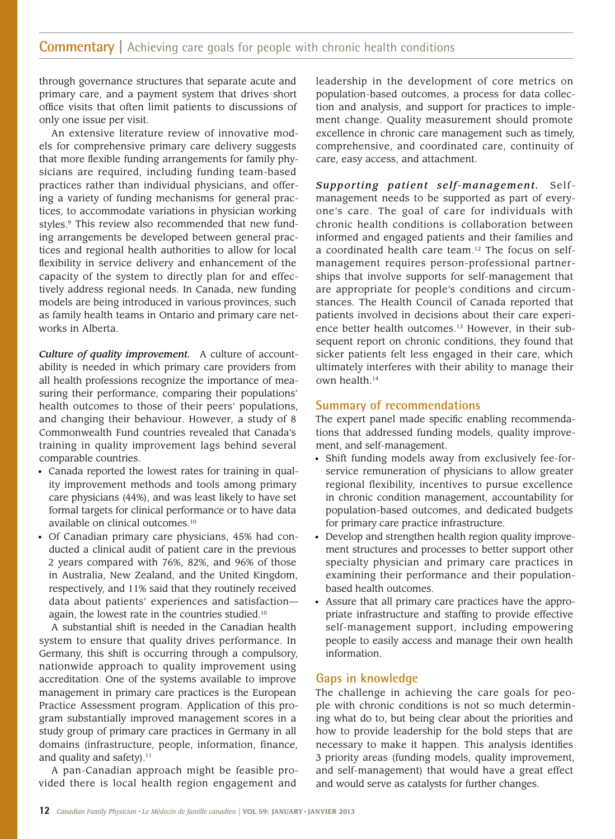## **Commentary** | Achieving care goals for people with chronic health conditions

through governance structures that separate acute and primary care, and a payment system that drives short office visits that often limit patients to discussions of only one issue per visit.

An extensive literature review of innovative models for comprehensive primary care delivery suggests that more flexible funding arrangements for family physicians are required, including funding team-based practices rather than individual physicians, and offering a variety of funding mechanisms for general practices, to accommodate variations in physician working styles.<sup>9</sup> This review also recommended that new funding arrangements be developed between general practices and regional health authorities to allow for local flexibility in service delivery and enhancement of the capacity of the system to directly plan for and effectively address regional needs. In Canada, new funding models are being introduced in various provinces, such as family health teams in Ontario and primary care networks in Alberta.

*Culture of quality improvement.* A culture of accountability is needed in which primary care providers from all health professions recognize the importance of measuring their performance, comparing their populations' health outcomes to those of their peers' populations, and changing their behaviour. However, a study of 8 Commonwealth Fund countries revealed that Canada's training in quality improvement lags behind several comparable countries.

- Canada reported the lowest rates for training in quality improvement methods and tools among primary care physicians (44%), and was least likely to have set formal targets for clinical performance or to have data available on clinical outcomes.10
- Of Canadian primary care physicians, 45% had conducted a clinical audit of patient care in the previous 2 years compared with 76%, 82%, and 96% of those in Australia, New Zealand, and the United Kingdom, respectively, and 11% said that they routinely received data about patients' experiences and satisfaction again, the lowest rate in the countries studied.10

A substantial shift is needed in the Canadian health system to ensure that quality drives performance. In Germany, this shift is occurring through a compulsory, nationwide approach to quality improvement using accreditation. One of the systems available to improve management in primary care practices is the European Practice Assessment program. Application of this program substantially improved management scores in a study group of primary care practices in Germany in all domains (infrastructure, people, information, finance, and quality and safety).<sup>11</sup>

A pan-Canadian approach might be feasible provided there is local health region engagement and

leadership in the development of core metrics on population-based outcomes, a process for data collection and analysis, and support for practices to implement change. Quality measurement should promote excellence in chronic care management such as timely, comprehensive, and coordinated care, continuity of care, easy access, and attachment.

*Supporting patient self-management.* Selfmanagement needs to be supported as part of everyone's care. The goal of care for individuals with chronic health conditions is collaboration between informed and engaged patients and their families and a coordinated health care team.12 The focus on selfmanagement requires person-professional partnerships that involve supports for self-management that are appropriate for people's conditions and circumstances. The Health Council of Canada reported that patients involved in decisions about their care experience better health outcomes.13 However, in their subsequent report on chronic conditions, they found that sicker patients felt less engaged in their care, which ultimately interferes with their ability to manage their own health.14

### **Summary of recommendations**

The expert panel made specific enabling recommendations that addressed funding models, quality improvement, and self-management.

- Shift funding models away from exclusively fee-forservice remuneration of physicians to allow greater regional flexibility, incentives to pursue excellence in chronic condition management, accountability for population-based outcomes, and dedicated budgets for primary care practice infrastructure.
- Develop and strengthen health region quality improvement structures and processes to better support other specialty physician and primary care practices in examining their performance and their populationbased health outcomes.
- Assure that all primary care practices have the appropriate infrastructure and staffing to provide effective self-management support, including empowering people to easily access and manage their own health information.

## **Gaps in knowledge**

The challenge in achieving the care goals for people with chronic conditions is not so much determining what do to, but being clear about the priorities and how to provide leadership for the bold steps that are necessary to make it happen. This analysis identifies 3 priority areas (funding models, quality improvement, and self-management) that would have a great effect and would serve as catalysts for further changes.